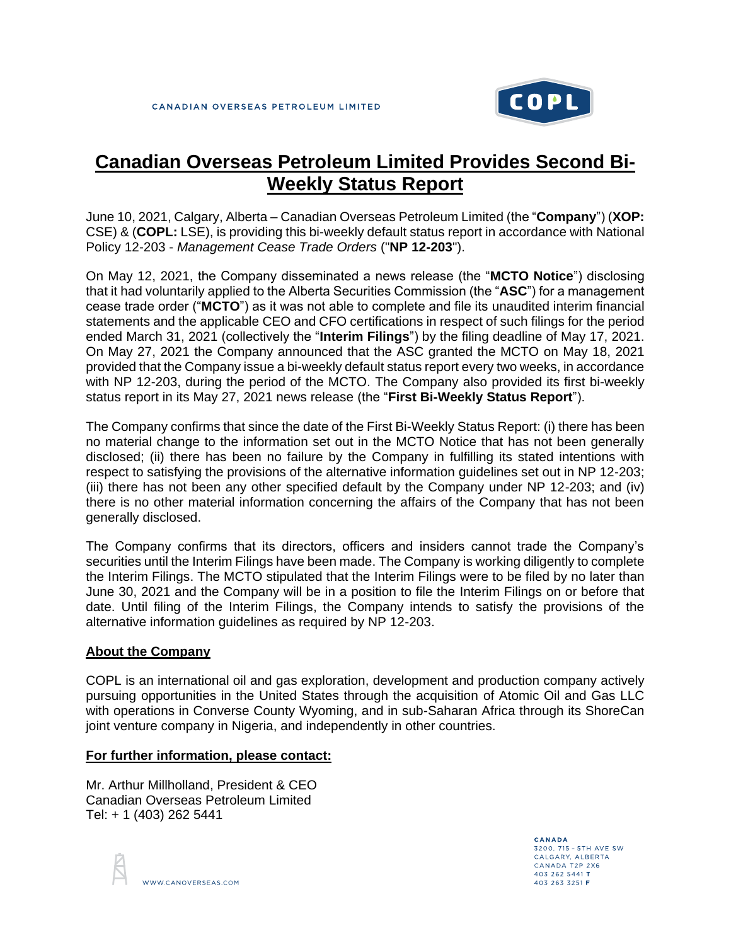

## **Canadian Overseas Petroleum Limited Provides Second Bi-Weekly Status Report**

June 10, 2021, Calgary, Alberta – Canadian Overseas Petroleum Limited (the "**Company**") (**XOP:** CSE) & (**COPL:** LSE), is providing this bi-weekly default status report in accordance with National Policy 12-203 - *Management Cease Trade Orders* ("**NP 12-203**").

On May 12, 2021, the Company disseminated a news release (the "**MCTO Notice**") disclosing that it had voluntarily applied to the Alberta Securities Commission (the "**ASC**") for a management cease trade order ("**MCTO**") as it was not able to complete and file its unaudited interim financial statements and the applicable CEO and CFO certifications in respect of such filings for the period ended March 31, 2021 (collectively the "**Interim Filings**") by the filing deadline of May 17, 2021. On May 27, 2021 the Company announced that the ASC granted the MCTO on May 18, 2021 provided that the Company issue a bi-weekly default status report every two weeks, in accordance with NP 12-203, during the period of the MCTO. The Company also provided its first bi-weekly status report in its May 27, 2021 news release (the "**First Bi-Weekly Status Report**").

The Company confirms that since the date of the First Bi-Weekly Status Report: (i) there has been no material change to the information set out in the MCTO Notice that has not been generally disclosed; (ii) there has been no failure by the Company in fulfilling its stated intentions with respect to satisfying the provisions of the alternative information guidelines set out in NP 12-203; (iii) there has not been any other specified default by the Company under NP 12-203; and (iv) there is no other material information concerning the affairs of the Company that has not been generally disclosed.

The Company confirms that its directors, officers and insiders cannot trade the Company's securities until the Interim Filings have been made. The Company is working diligently to complete the Interim Filings. The MCTO stipulated that the Interim Filings were to be filed by no later than June 30, 2021 and the Company will be in a position to file the Interim Filings on or before that date. Until filing of the Interim Filings, the Company intends to satisfy the provisions of the alternative information guidelines as required by NP 12-203.

## **About the Company**

COPL is an international oil and gas exploration, development and production company actively pursuing opportunities in the United States through the acquisition of Atomic Oil and Gas LLC with operations in Converse County Wyoming, and in sub-Saharan Africa through its ShoreCan joint venture company in Nigeria, and independently in other countries.

## **For further information, please contact:**

Mr. Arthur Millholland, President & CEO Canadian Overseas Petroleum Limited Tel: + 1 (403) 262 5441

WWW.CANOVERSEAS.COM

CANADA 3200, 715 - 5TH AVE SW CALGARY, ALBERTA CANADA T2P 2X6 403 262 5441 T 403 263 3251 F